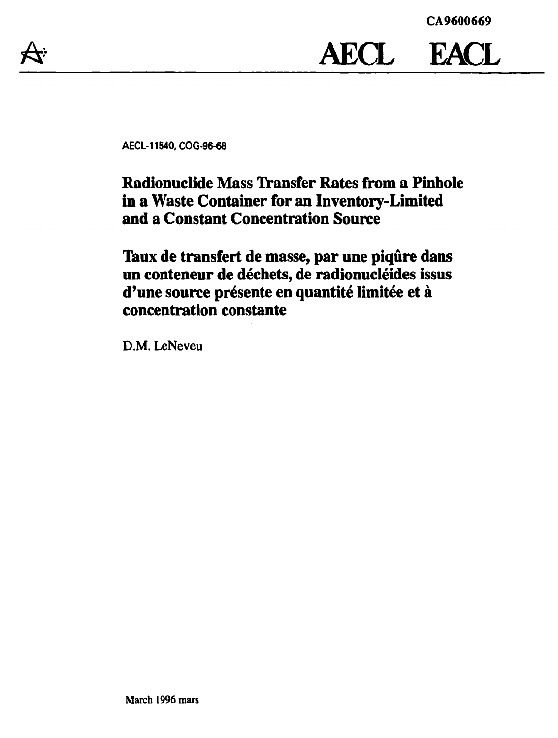

**AECL EACL**

**AECL-11540,COG-96-68**

**Radionuclide Mass Transfer Rates from a Pinhole in a Waste Container for an Inventory-Limited and a Constant Concentration Source**

**Taux de transfert de masse, par une piqûre dans un conteneur de déchets, de radionudéides issus d'une source présente en quantité limitée et à concentration constante**

D.M. LeNeveu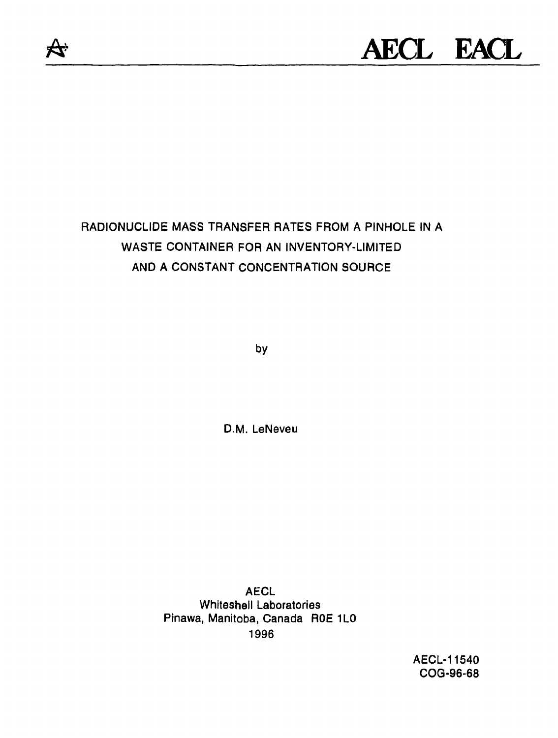

# RADIONUCLIDE MASS TRANSFER RATES FROM A PINHOLE IN A WASTE CONTAINER FOR AN INVENTORY-LIMITED AND A CONSTANT CONCENTRATION SOURCE

by

D.M. LeNeveu

AECL Whiteshell Laboratories Pinawa, Manitoba, Canada ROE 1L0 1996

> AECL-11540 COQ-96-68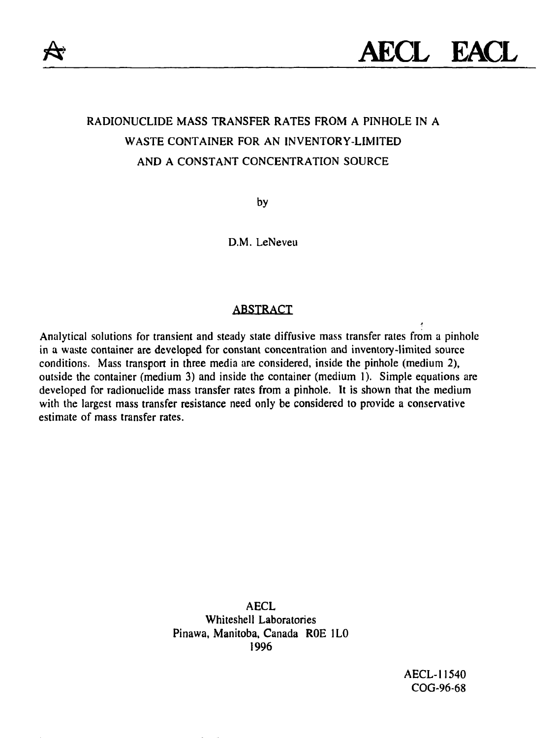

# RADIONUCLIDE MASS TRANSFER RATES FROM A PINHOLE IN A WASTE CONTAINER FOR AN INVENTORY-LIMITED AND A CONSTANT CONCENTRATION SOURCE

by

D.M. LeNeveu

## ABSTRACT

Analytical solutions for transient and steady state diffusive mass transfer rates from a pinhole in a waste container are developed for constant concentration and inventory-limited source conditions. Mass transport in three media are considered, inside the pinhole (medium 2), outside the container (medium 3) and inside the container (medium 1). Simple equations are developed for radionuclide mass transfer rates from a pinhole. It is shown that the medium with the largest mass transfer resistance need only be considered to provide a conservative estimate of mass transfer rates.

> AECL Whiteshell Laboratories Pinawa, Manitoba, Canada ROE 1L0 1996

> > AECL-11540 COG-96-68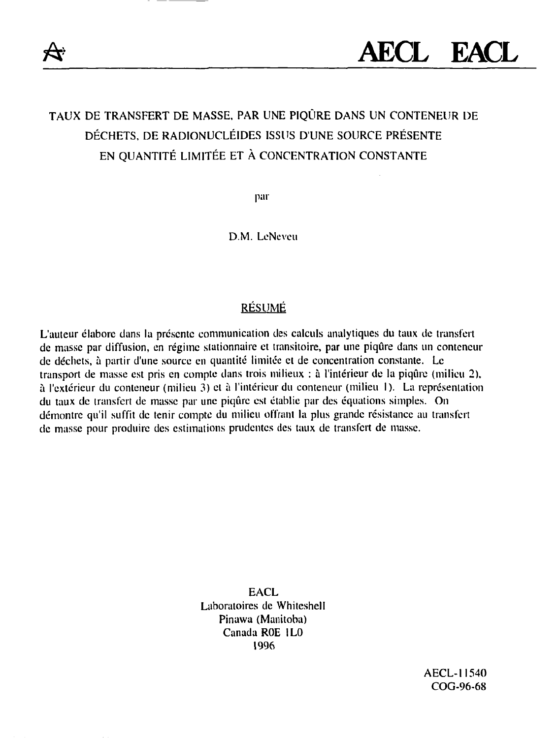

# TAUX DE TRANSFERT DE MASSE, PAR UNE PIQÛRE DANS UN CONTENEUR DE DÉCHETS, DE RADIONUCLÉIDES ISSUS D'UNE SOURCE PRÉSENTE EN QUANTITÉ LIMITÉE ET À CONCENTRATION CONSTANTE

par

D.M. LeNcveu

# RESUME

L'auteur élabore dans la présente communication des calculs analytiques du taux de transfert de masse par diffusion, en régime slationnaire et transitoire, par une piqûre dans un conteneur de déchets, à partir d'une source en quantité limitée et de concentration constante. Le transport de masse est pris en compte dans trois milieux : à l'intérieur de la piqûre (milieu 2), à l'extérieur du conteneur (milieu 3) et à l'intérieur du conteneur (milieu I). La représentation du taux de transfert de masse par une piqûre est établie par des équations simples. On démontre qu'il suffit de tenir compte du milieu offrant la plus grande résistance au transfert de masse pour produire des estimations prudentes des taux de transfert de masse.

> EACL Laboratoires de Whiteshell Pinawa (Manitoba) Canada ROE IL0 19%

> > AECL-11540 COG-96-68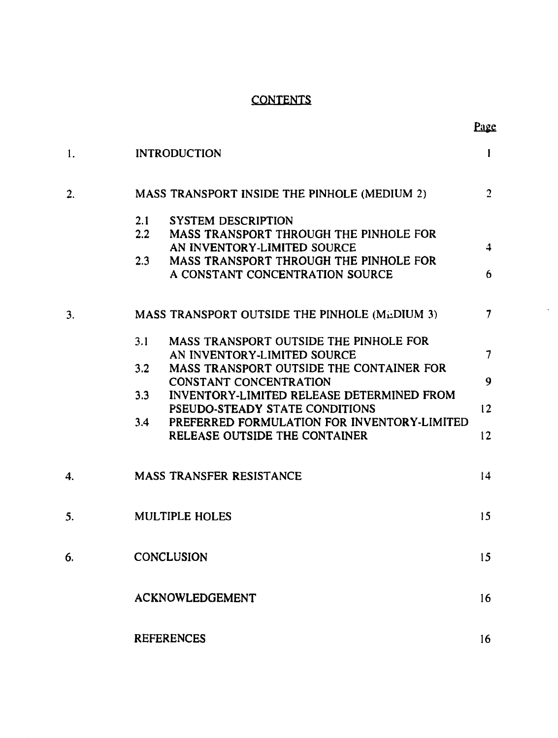# **CONTENTS**

**Page**

 $\ddot{\phantom{a}}$ 

| 1. | <b>INTRODUCTION</b>                                                                | $\mathbf{I}$   |
|----|------------------------------------------------------------------------------------|----------------|
| 2. | <b>MASS TRANSPORT INSIDE THE PINHOLE (MEDIUM 2)</b>                                | $\overline{2}$ |
|    | 2.1<br><b>SYSTEM DESCRIPTION</b>                                                   |                |
|    | 2.2<br>MASS TRANSPORT THROUGH THE PINHOLE FOR                                      |                |
|    | AN INVENTORY-LIMITED SOURCE                                                        | 4              |
|    | 2.3<br>MASS TRANSPORT THROUGH THE PINHOLE FOR<br>A CONSTANT CONCENTRATION SOURCE   | 6              |
|    |                                                                                    |                |
| 3. | MASS TRANSPORT OUTSIDE THE PINHOLE (MEDIUM 3)                                      |                |
|    | MASS TRANSPORT OUTSIDE THE PINHOLE FOR<br>3.1                                      |                |
|    | AN INVENTORY-LIMITED SOURCE                                                        | $\overline{7}$ |
|    | 3.2<br>MASS TRANSPORT OUTSIDE THE CONTAINER FOR                                    |                |
|    | <b>CONSTANT CONCENTRATION</b>                                                      | 9              |
|    | 3.3<br>INVENTORY-LIMITED RELEASE DETERMINED FROM<br>PSEUDO-STEADY STATE CONDITIONS | 12             |
|    | PREFERRED FORMULATION FOR INVENTORY-LIMITED<br>3.4                                 |                |
|    | RELEASE OUTSIDE THE CONTAINER                                                      | 12             |
| 4. | <b>MASS TRANSFER RESISTANCE</b>                                                    | 14             |
| 5. | <b>MULTIPLE HOLES</b>                                                              | 15             |
| 6. | <b>CONCLUSION</b>                                                                  | 15             |
|    | <b>ACKNOWLEDGEMENT</b>                                                             | 16             |
|    | <b>REFERENCES</b>                                                                  | 16             |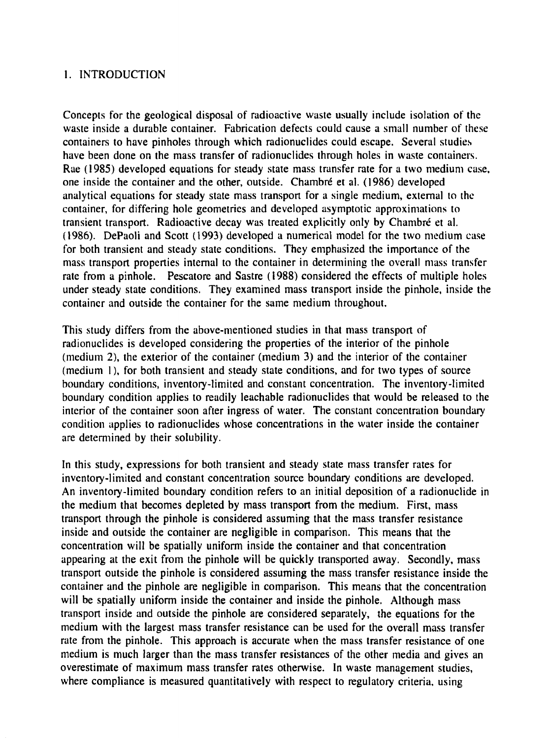#### 1. INTRODUCTION

Concepts for the geological disposal of radioactive waste usually include isolation of the waste inside a durable container. Fabrication defects could cause a small number of these containers to have pinholes through which radionuclides could escape. Several studies have been done on the mass transfer of radionuclides through holes in waste containers. Rae (1985) developed equations for steady state mass transfer rate for a two medium case, one inside the container and the other, outside. Chambré et al. (1986) developed analytical equations for steady state mass transport for a single medium, external to the container, for differing hole geometries and developed asymptotic approximations to transient transport. Radioactive decay was treated explicitly only by Chambré et al. (1986). DePaoli and Scott (1993) developed a numerical model for the two medium case for both transient and steady state conditions. They emphasized the importance of the mass transport properties internal to the container in determining the overall mass transfer rate from a pinhole. Pescatore and Sastre (1988) considered the effects of multiple holes under steady state conditions. They examined mass transport inside the pinhole, inside the container and outside the container for the same medium throughout.

This study differs from the above-mentioned studies in that mass transport of radionuclides is developed considering the properties of the interior of the pinhole (medium 2), the exterior of the container (medium 3) and the interior of the container (medium 1), for both transient and steady state conditions, and for two types of source boundary conditions, inventory-limited and constant concentration. The inventory-limited boundary condition applies to readily leachable radionuclides that would be released to the interior of the container soon after ingress of water. The constant concentration boundary condition applies to radionuclides whose concentrations in the water inside the container are determined by their solubility.

In this study, expressions for both transient and steady state mass transfer rates for inventory-limited and constant concentration source boundary conditions are developed. An inventory-limited boundary condition refers to an initial deposition of a radionuclide in the medium that becomes depleted by mass transport from the medium. First, mass transport through the pinhole is considered assuming that the mass transfer resistance inside and outside the container are negligible in comparison. This means that the concentration will be spatially uniform inside the container and that concentration appearing at the exit from the pinhole will be quickly transported away. Secondly, mass transport outside the pinhole is considered assuming the mass transfer resistance inside the container and the pinhole are negligible in comparison. This means that the concentration will be spatially uniform inside the container and inside the pinhole. Although mass transport inside and outside the pinhole are considered separately, the equations for the medium with the largest mass transfer resistance can be used for the overall mass transfer rate from the pinhole. This approach is accurate when the mass transfer resistance of one medium is much larger than the mass transfer resistances of the other media and gives an overestimate of maximum mass transfer rates otherwise. In waste management studies, where compliance is measured quantitatively with respect to regulatory criteria, using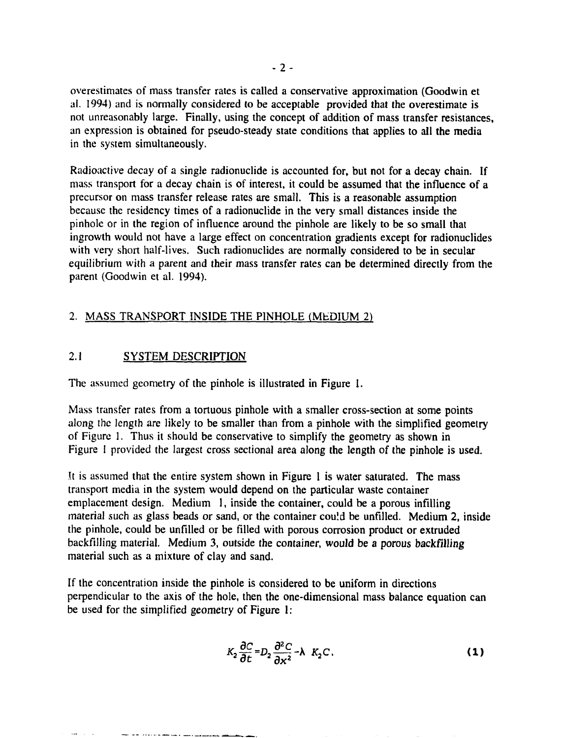overestimates of mass transfer rates is called a conservative approximation (Goodwin et al. 1994) and is normally considered to be acceptable provided that the overestimate is not unreasonably large. Finally, using the concept of addition of mass transfer resistances, an expression is obtained for pseudo-steady state conditions that applies to all the media in the system simultaneously.

Radioactive decay of a single radionuclide is accounted for, but not for a decay chain. If mass transport for a decay chain is of interest, it could be assumed that the influence of a precursor on mass transfer release rates are small. This is a reasonable assumption because the residency times of a radionuclide in the very small distances inside the pinhole or in the region of influence around the pinhole are likely to be so small that ingrowth would not have a large effect on concentration gradients except for radionuclides with very short half-lives. Such radionuclides are normally considered to be in secular equilibrium with a parent and their mass transfer rates can be determined directly from the parent (Goodwin et al. 1994).

# 2. MASS TRANSPORT INSIDE THE PINHOLE (MEDIUM 2)

# 2.1 SYSTEM DESCRIPTION

The assumed geometry of the pinhole is illustrated in Figure 1.

Mass transfer rates from a tortuous pinhole with a smaller cross-section at some points along the length are likely to be smaller than from a pinhole with the simplified geometry of Figure 1. Thus it should be conservative to simplify the geometry as shown in Figure 1 provided the largest cross sectional area along the length of the pinhole is used.

It is assumed that the entire system shown in Figure 1 is water saturated. The mass transport media in the system would depend on the particular waste container emplacement design. Medium 1, inside the container, could be a porous infilling material such as glass beads or sand, or the container could be unfilled. Medium 2, inside the pinhole, could be unfilled or be filled with porous corrosion product or extruded backfilling material. Medium 3, outside the container, would be a porous backfilling material such as a mixture of clay and sand.

If the concentration inside the pinhole is considered to be uniform in directions perpendicular to the axis of the hole, then the one-dimensional mass balance equation can be used for the simplified geometry of Figure 1:

$$
K_2 \frac{\partial C}{\partial t} = D_2 \frac{\partial^2 C}{\partial x^2} - \lambda \quad K_2 C \,.
$$
 (1)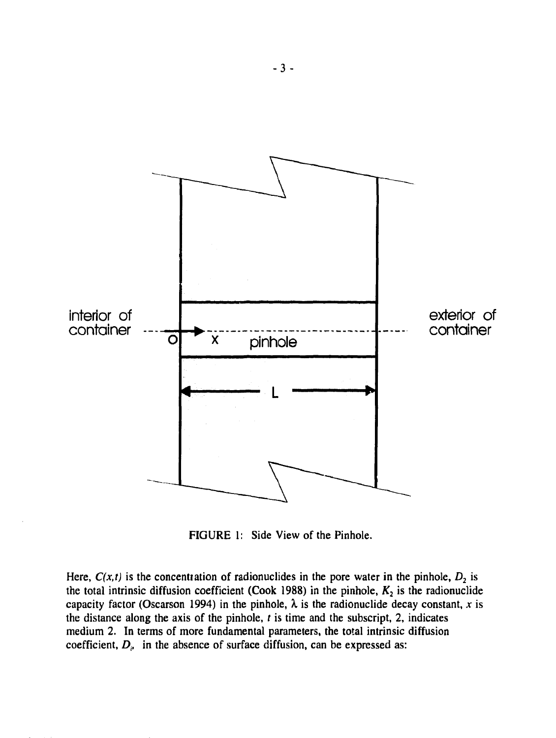

FIGURE 1: Side View of the Pinhole.

Here,  $C(x,t)$  is the concentration of radionuclides in the pore water in the pinhole,  $D_2$  is the total intrinsic diffusion coefficient (Cook 1988) in the pinhole,  $K_2$  is the radionuclide capacity factor (Oscarson 1994) in the pinhole,  $\lambda$  is the radionuclide decay constant, x is the distance along the axis of the pinhole,  $t$  is time and the subscript, 2, indicates medium 2. In terms of more fundamental parameters, the total intrinsic diffusion coefficient,  $D_{\rho}$  in the absence of surface diffusion, can be expressed as: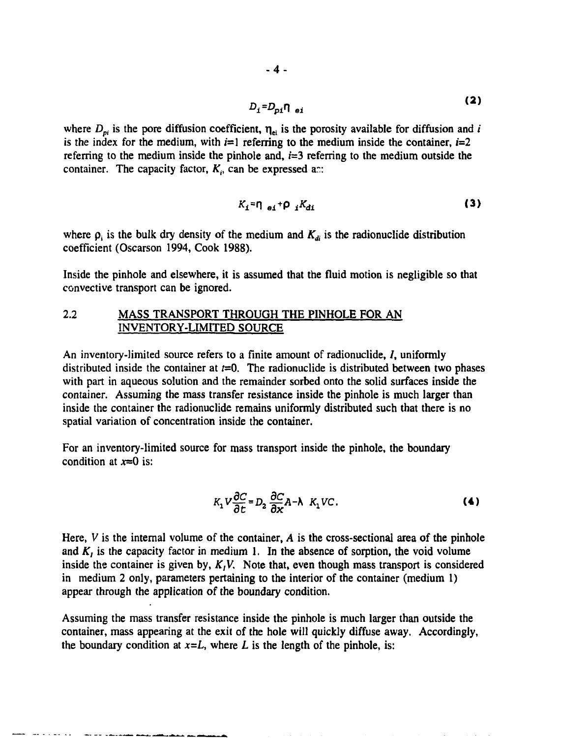$$
D_i = D_{pi} \mathbf{\eta}_{ei} \tag{2}
$$

where  $D_{pi}$  is the pore diffusion coefficient,  $\eta_{ei}$  is the porosity available for diffusion and *i* is the index for the medium, with  $i=1$  referring to the medium inside the container,  $i=2$ referring to the medium inside the pinhole and,  $i=3$  referring to the medium outside the container. The capacity factor,  $K_i$ , can be expressed an:

$$
K_i = \bigcap_{i \in I} \bigcap_{i} K_{di}
$$
 (3)

where  $\rho_i$  is the bulk dry density of the medium and  $K_{di}$  is the radionuclide distribution coefficient (Oscarson 1994, Cook 1988).

Inside the pinhole and elsewhere, it is assumed that the fluid motion is negligible so that convective transport can be ignored.

#### 2.2 MASS TRANSPORT THROUGH THE PINHOLE FOR AN INVENTORY-LIMITED SOURCE

An inventory-limited source refers to a finite amount of radionuclide, *I*, uniformly distributed inside the container at  $t=0$ . The radionuclide is distributed between two phases with part in aqueous solution and the remainder sorbed onto the solid surfaces inside the container. Assuming the mass transfer resistance inside the pinhole is much larger than inside the container the radionuclide remains uniformly distributed such that there is no spatial variation of concentration inside the container.

For an inventory-limited source for mass transport inside the pinhole, the boundary condition at *x=0* is:

$$
K_1 V \frac{\partial C}{\partial t} = D_2 \frac{\partial C}{\partial x} A - \lambda K_1 V C.
$$
 (4)

Here, *V* is the internal volume of the container, *A* is the cross-sectional area of the pinhole and  $K_i$ , is the capacity factor in medium 1. In the absence of sorption, the void volume inside the container is given by,  $K_tV$ . Note that, even though mass transport is considered in medium 2 only, parameters pertaining to the interior of the container (medium 1) appear through the application of the boundary condition.

Assuming the mass transfer resistance inside the pinhole is much larger than outside the container, mass appearing at the exit of the hole will quickly diffuse away. Accordingly, the boundary condition at  $x=L$ , where L is the length of the pinhole, is: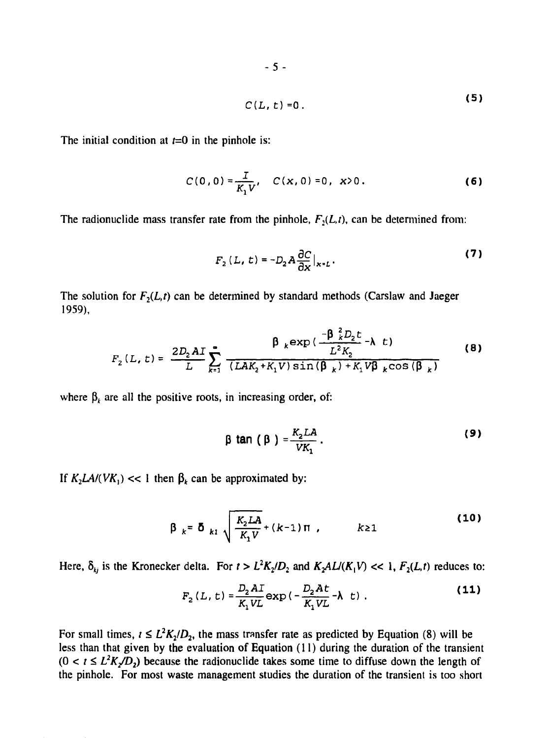$$
C(L, t) = 0.
$$

The initial condition at  $t=0$  in the pinhole is:

$$
C(0,0) = \frac{I}{K_1 V}, \quad C(x,0) = 0, \quad x > 0.
$$
 (6)

The radionuclide mass transfer rate from the pinhole,  $F_2(L,t)$ , can be determined from:

$$
F_2(L, t) = -D_2 A \frac{\partial C}{\partial x} \big|_{x=L}.
$$
 (7)

The solution for  $F_2(L,t)$  can be determined by standard methods (Carslaw and Jaeger 1959),

$$
F_{2}(L, t) = \frac{2D_{2}AI}{L} \sum_{k=1}^{n} \frac{\beta_{k} \exp\left(-\frac{\beta_{k}^{2}D_{2}t}{L^{2}K_{2}} - \lambda t\right)}{\left(LAK_{2} + K_{1}V\right) \sin\left(\beta_{k}\right) + K_{1}V\beta_{k} \cos\left(\beta_{k}\right)}
$$
(8)

where  $\beta_k$  are all the positive roots, in increasing order, of:

$$
\beta \tan (\beta) = \frac{K_2 L A}{VK_1} \,. \tag{9}
$$

If  $K_2LA/(VK_1) \ll 1$  then  $\beta_k$  can be approximated by:

$$
\beta_{k} = \delta_{k1} \sqrt{\frac{K_{2}LA}{K_{1}V}} + (k-1) \pi, \qquad k \ge 1
$$
 (10)

Here,  $\delta_{kj}$  is the Kronecker delta. For  $t > L^2 K_2/D_2$  and  $K_2AL/(K_1 V) \ll 1$ ,  $F_2(L,t)$  reduces to:

$$
F_2(L, t) = \frac{D_2 A I}{K_1 V L} \exp\left(-\frac{D_2 A t}{K_1 V L} - \lambda t\right) \,. \tag{11}
$$

For small times,  $t \leq L^2 K_2/D_2$ , the mass transfer rate as predicted by Equation (8) will be less than that given by the evaluation of Equation (11) during the duration of the transient  $(0 < i \leq L^2K\sqrt{D_2}$ ) because the radionuclide takes some time to diffuse down the length of the pinhole. For most waste management studies the duration of the transient is too short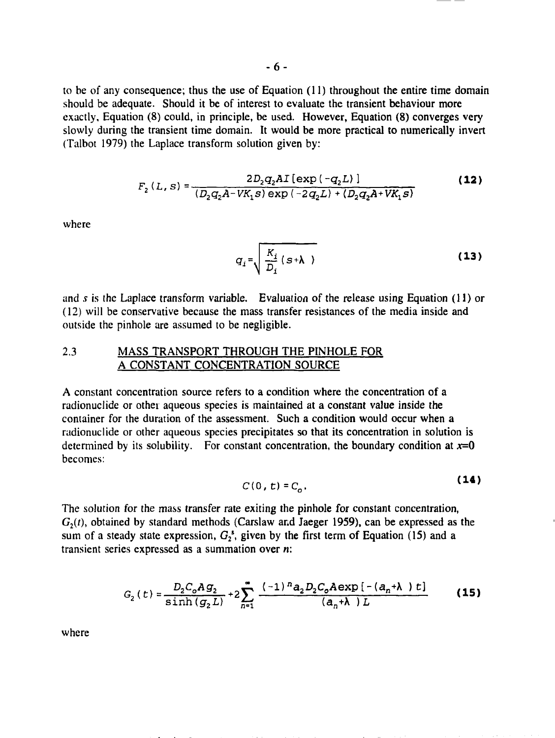to be of any consequence; thus the use of Equation (11) throughout the entire time domain should be adequate. Should it be of interest to evaluate the transient behaviour more exactly, Equation (8) could, in principle, be used. However, Equation (8) converges very slowly during the transient time domain. It would be more practical to numerically invert (Talbot 1979) the Laplace transform solution given by:

$$
F_2(L, s) = \frac{2D_2q_2AI\left(\exp\left(-q_2L\right)\right)}{(D_2q_2A - VK_1s)\exp\left(-2q_2L\right) + (D_2q_2A + VK_1s)}
$$
(12)

where

$$
q_i = \sqrt{\frac{K_i}{D_i} (s + \lambda)}
$$
 (13)

and *s* is the Laplace transform variable. Evaluation of the release using Equation (11) or (12) will be conservative because the mass transfer resistances of the media inside and outside the pinhole are assumed to be negligible.

#### 2.3 MASS TRANSPORT THROUGH THE PINHOLE FOR A CONSTANT CONCENTRATION SOURCE

A constant concentration source refers to a condition where the concentration of a radionuclide or other aqueous species is maintained at a constant value inside the container for the duration of the assessment. Such a condition would occur when a radionuclide or other aqueous species precipitates so that its concentration in solution is determined by its solubility. For constant concentration, the boundary condition at  $x=0$ becomes:

$$
C(0, t) = C_o.
$$
 (14)

The solution for the mass transfer rate exiting the pinhole for constant concentration,  $G<sub>2</sub>(t)$ , obtained by standard methods (Carslaw and Jaeger 1959), can be expressed as the sum of a steady state expression,  $G_2^s$ , given by the first term of Equation (15) and a transient series expressed as a summation over *n\*

$$
G_2(t) = \frac{D_2 C_o A g_2}{\sinh (g_2 L)} + 2 \sum_{n=1}^{\infty} \frac{(-1)^n a_2 D_2 C_o A \exp[-(a_n + \lambda) t]}{(a_n + \lambda) L}
$$
 (15)

where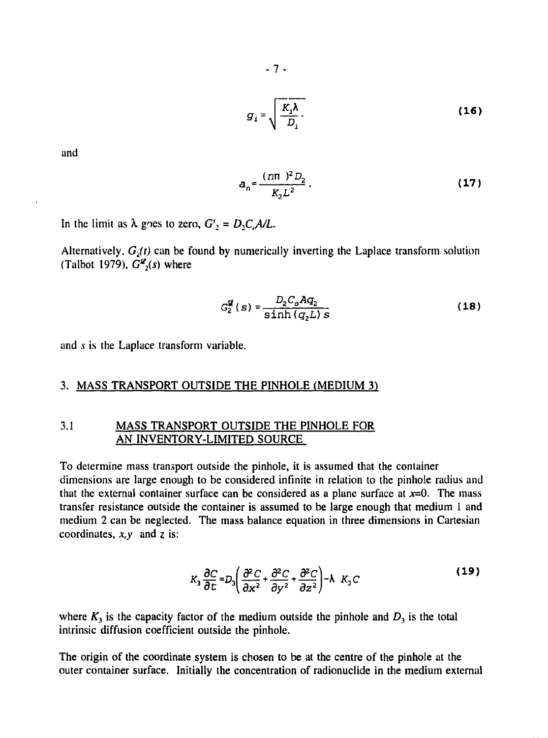$$
g_i = \sqrt{\frac{K_i \lambda}{D_i}}.
$$
 (16)

and

$$
a_n = \frac{(n\pi)^2 D_2}{K_2 L^2} \,. \tag{17}
$$

In the limit as  $\lambda$  goes to zero,  $G_2 = D_2C_c A/L$ .

Alternatively,  $G_2(t)$  can be found by numerically inverting the Laplace transform solution (Talbot 1979),  $G_{2}^{g}(s)$  where

$$
G_2^{\mathcal{Q}}(s) = \frac{D_2 C_0 A q_2}{\sinh (q_2 L) s}
$$
 (18)

and  $s$  is the Laplace transform variable.

#### 3. MASS TRANSPORT OUTSIDE THE PINHOLE (MEDIUM 3)

#### 3.1 MASS TRANSPORT OUTSIDE THE PINHOLE FOR AN INVENTORY-LIMITED SOURCE

To determine mass transport outside the pinhole, it is assumed that the container dimensions are large enough to be considered infinite in relation to the pinhole radius and that the external container surface can be considered as a plane surface at  $x=0$ . The mass transfer resistance outside the container is assumed to be large enough that medium 1 and medium 2 can be neglected. The mass balance equation in three dimensions in Cartesian coordinates, *x,y* and *z* is:

$$
K_3 \frac{\partial C}{\partial t} = D_3 \left( \frac{\partial^2 C}{\partial x^2} + \frac{\partial^2 C}{\partial y^2} + \frac{\partial^2 C}{\partial z^2} \right) - \lambda \quad K_3 C
$$
 (19)

where  $K_3$  is the capacity factor of the medium outside the pinhole and  $D_3$  is the total intrinsic diffusion coefficient outside the pinhole.

The origin of the coordinate system is chosen to be at the centre of the pinhole at the outer container surface. Initially the concentration of radionuclide in the medium external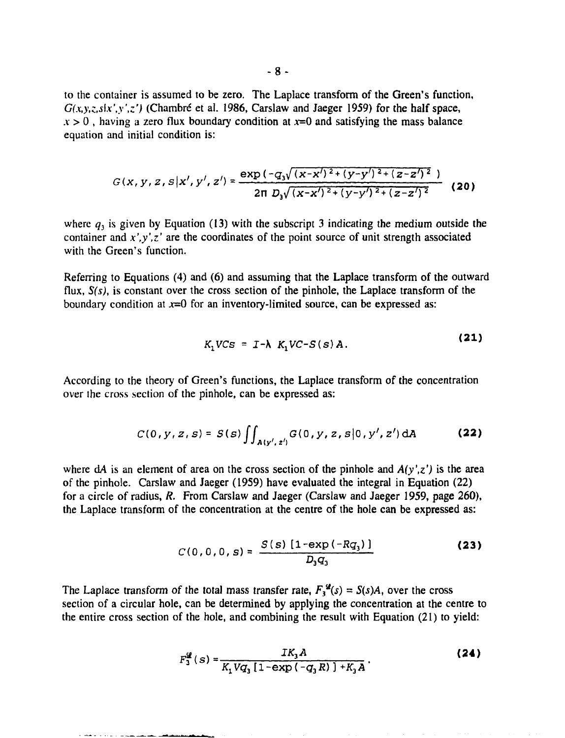to the container is assumed to be zero. The Laplace transform of the Green's function, *G(.x,y,z,s\x',y',z')* (Chambré et al. 1986, Carslaw and Jaeger 1959) for the half space,  $x > 0$ , having a zero flux boundary condition at  $x=0$  and satisfying the mass balance equation and initial condition is:

$$
G(x, y, z, s | x', y', z') = \frac{\exp(-q_3 \sqrt{(x-x')^2 + (y-y')^2 + (z-z')^2})}{2\pi D_3 \sqrt{(x-x')^2 + (y-y')^2 + (z-z')^2}}
$$
(20)

where  $q_3$  is given by Equation (13) with the subscript 3 indicating the medium outside the container and  $x'$ ,  $y'$ , $z'$  are the coordinates of the point source of unit strength associated with the Green's function.

Referring to Equations (4) and (6) and assuming that the Laplace transform of the outward flux,  $S(s)$ , is constant over the cross section of the pinhole, the Laplace transform of the boundary condition at  $x=0$  for an inventory-limited source, can be expressed as:

$$
K_1VCS = I - \lambda K_1VC - S(S) A.
$$
 (21)

According to the theory of Green's functions, the Laplace transform of the concentration over the cross section of the pinhole, can be expressed as:

$$
C(0, y, z, s) = S(s) \iint_{A(y', z')} G(0, y, z, s | 0, y', z') dA
$$
 (22)

where  $dA$  is an element of area on the cross section of the pinhole and  $A(y',z')$  is the area of the pinhole. Carslaw and Jaeger (1959) have evaluated the integral in Equation (22) for a circle of radius,  $R$ . From Carslaw and Jaeger (Carslaw and Jaeger 1959, page 260), the Laplace transform of the concentration at the centre of the hole can be expressed as:

$$
C(0,0,0,s) = \frac{S(s) [1-\exp(-Rq_3)]}{D_3q_3}
$$
 (23)

The Laplace transform of the total mass transfer rate,  $F_3^2(s) = S(s)A$ , over the cross section of a circular hole, can be determined by applying the concentration at the centre to the entire cross section of the hole, and combining the result with Equation (21) to yield:

$$
F_3^{\mathcal{L}}(s) = \frac{IK_3 A}{K_1 V q_3 [1 - \exp(-q_3 R)] + K_3 A}.
$$
 (24)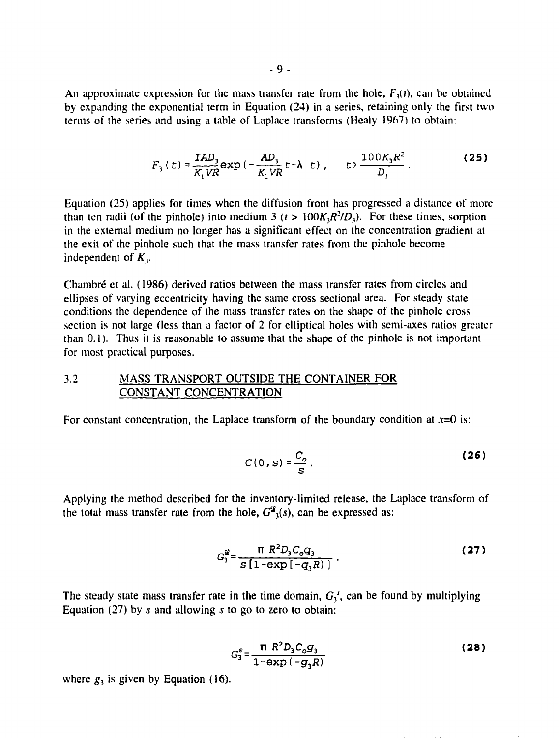An approximate expression for the mass transfer rate from the hole,  $F_1(t)$ , can be obtained by expanding the exponential term in Equation (24) in a series, retaining only the first two terms of the series and using a table of Laplace transforms (Healy 1967) to obtain:

$$
F_3(t) = \frac{IAD_3}{K_1VR} \exp\left(-\frac{AD_3}{K_1VR}t - \lambda t\right), \qquad t > \frac{100K_3R^2}{D_3}.
$$
 (25)

Equation (25) applies for times when the diffusion front has progressed a distance of more than ten radii (of the pinhole) into medium 3 ( $t > 100K<sub>3</sub>R<sup>2</sup>/D<sub>3</sub>$ ). For these times, sorption in the external medium no longer has a significant effect on the concentration gradient at the exit of the pinhole such that the mass transfer rates from the pinhole become independent of *K<sup>y</sup>*

Chambré et al. (1986) derived ratios between the mass transfer rates from circles and ellipses of varying eccentricity having the same cross sectional area. For steady state conditions the dependence of the mass transfer rates on the shape of the pinhole cross section is not large (less than a factor of 2 for elliptical holes with semi-axes ratios greater than 0.1 ). Thus it is reasonable to assume that the shape of the pinhole is not important for most practical purposes.

### 3.2 MASS TRANSPORT OUTSIDE THE CONTAINER FOR CONSTANT CONCENTRATION

For constant concentration, the Laplace transform of the boundary condition at  $x=0$  is:

$$
C(0, s) = \frac{C_o}{s}.
$$
 (26)

Applying the method described for the inventory-limited release, the Laplace transform of the total mass transfer rate from the hole,  $G^{\mathcal{Q}}_3(s)$ , can be expressed as:

$$
G_3^{\mathcal{G}} = \frac{\pi R^2 D_3 C_0 q_3}{S [1 - \exp[-q_3 R)]} \tag{27}
$$

The steady state mass transfer rate in the time domain,  $G_3^s$ , can be found by multiplying Equation (27) by *s* and allowing *s* to go to zero to obtain:

$$
G_3^S = \frac{\pi R^2 D_3 C_o G_3}{1 - \exp(-g_3 R)}
$$
 (28)

where  $g_3$  is given by Equation (16).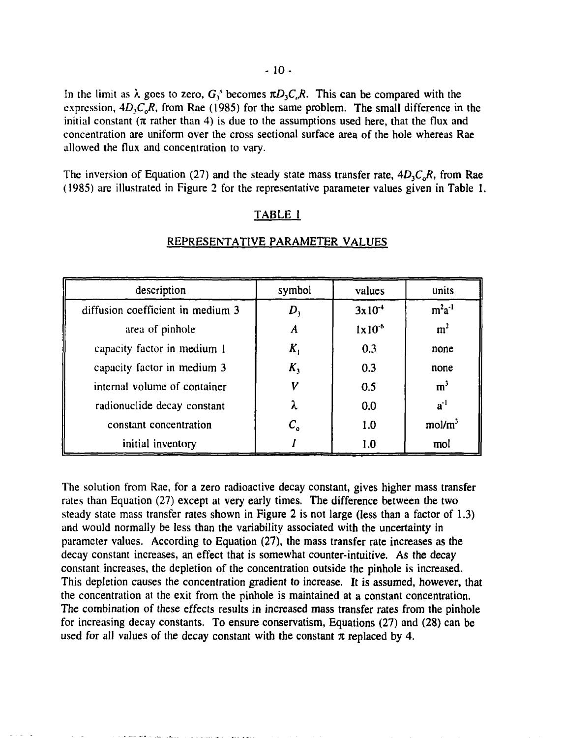In the limit as  $\lambda$  goes to zero,  $G_3$ <sup>*s*</sup> becomes  $\pi D_3 C_6 R$ . This can be compared with the expression,  $4D_3C_0R$ , from Rae (1985) for the same problem. The small difference in the initial constant ( $\pi$  rather than 4) is due to the assumptions used here, that the flux and concentration are uniform over the cross sectional surface area of the hole whereas Rae allowed the flux and concentration to vary.

The inversion of Equation (27) and the steady state mass transfer rate,  $4D_3C_6R$ , from Rae (1985) are illustrated in Figure 2 for the representative parameter values given in Table 1.

#### TABLE 1

| description                       | symbol                                     | values      | units              |
|-----------------------------------|--------------------------------------------|-------------|--------------------|
| diffusion coefficient in medium 3 | D,                                         | $3x10^{-4}$ | $m^2a^{-1}$        |
| area of pinhole                   | A                                          | $1x10^{-6}$ | m <sup>2</sup>     |
| capacity factor in medium 1       | $K_{i}$                                    | 0.3         | none               |
| capacity factor in medium 3       | $K_{1}$                                    | 0.3         | none               |
| internal volume of container      | V                                          | 0.5         | m <sup>3</sup>     |
| radionuclide decay constant       | λ                                          | 0.0         | $a^{-1}$           |
| constant concentration            | $\mathcal{C}_{\scriptscriptstyle{\alpha}}$ | 1.0         | mol/m <sup>3</sup> |
| initial inventory                 |                                            | 1.0         | mol                |

#### REPRESENTATIVE PARAMETER VALUES

The solution from Rae, for a zero radioactive decay constant, gives higher mass transfer rates than Equation (27) except at very early times. The difference between the two steady state mass transfer rates shown in Figure 2 is not large (less than a factor of 1.3) and would normally be less than the variability associated with the uncertainty in parameter values. According to Equation (27), the mass transfer rate increases as the decay constant increases, an effect that is somewhat counter-intuitive. As the decay constant increases, the depletion of the concentration outside the pinhole is increased. This depletion causes the concentration gradient to increase. It is assumed, however, that the concentration at the exit from the pinhole is maintained at a constant concentration. The combination of these effects results in increased mass transfer rates from the pinhole for increasing decay constants. To ensure conservatism, Equations (27) and (28) can be used for all values of the decay constant with the constant  $\pi$  replaced by 4.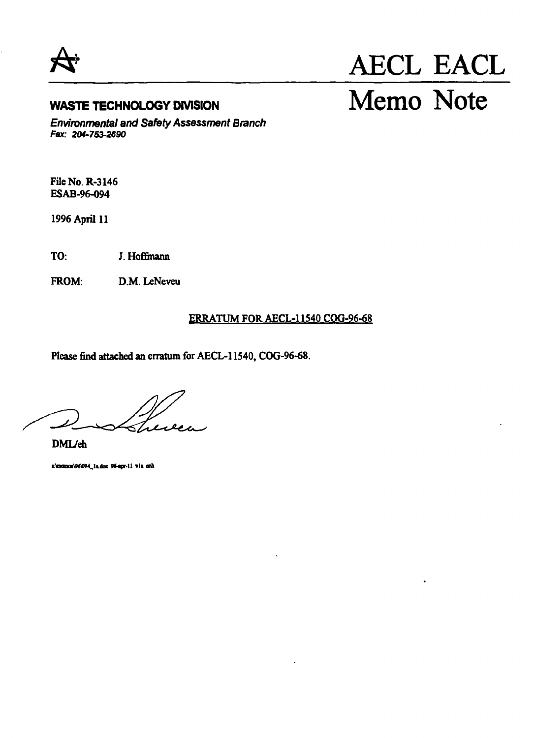

## **WASTE TECHNOLOGY DIVISION**

Environmental and Safety Assessment Branch **Fax: 204-753-2690**

**File No. R-3146 ESAB-96-094**

**1996 April 11**

**TO: J. Hoffmann**

**FROM: D.M. LeNeveu**

#### **ERRATUM FOR AECL-11540 COG-96-68**

**Please find attached an erratum for AECL-11540, COG-96-68.**

Luca

**DML/eh**

**iAmamVM»4Jt.iloc «ttp-U vit tnh**

# AECL EACL Memo Note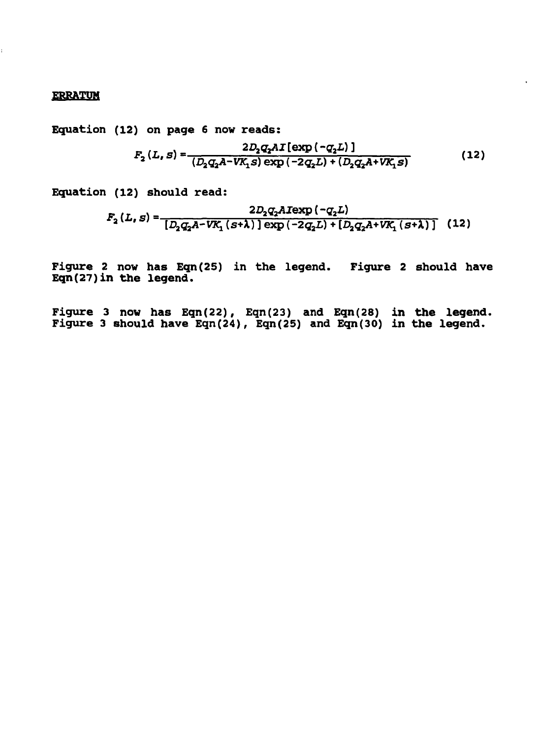#### **ERRATUM**

ř.

**Equation (12) on page 6 now reads:**

$$
F_2(L, s) = \frac{2D_2q_2AT[\exp(-q_2L)]}{(D_2q_2A - VK_1s)\exp(-2q_2L) + (D_2q_2A + VK_1s)}
$$
(12)

Equation (12) should read:

$$
F_2(L, s) = \frac{2D_2q_2A \exp(-q_2L)}{[D_2q_2A - VK_1(s+\lambda)] \exp(-2q_2L) + [D_2q_2A + VK_1(s+\lambda)]}
$$
(12)

Figure 2 now has Eqn(25) in the legend. Figure 2 should have Eqn(27)in the legend.

Figure 3 **now** has Eqn(22), Eqn(23) and Eqn(28) in the legend. Figure 3 should have  $\text{Eqn}(24)$ ,  $\text{Eqn}(25)$  and  $\text{Eqn}(30)$  in the legend.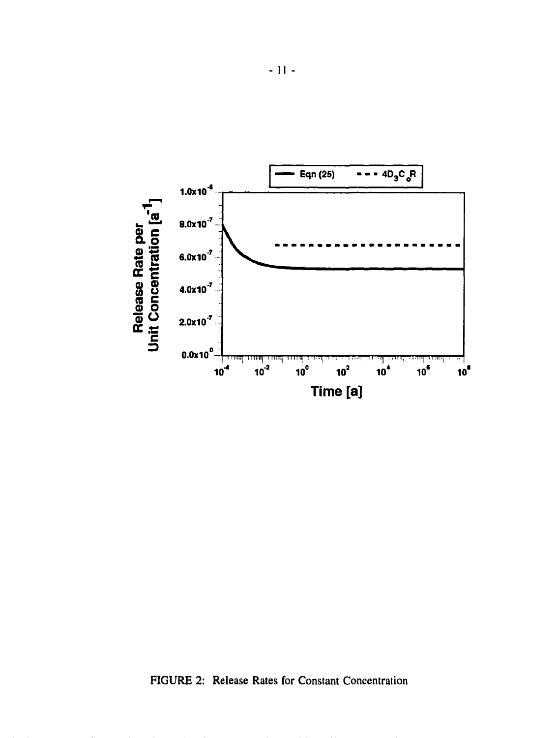

**FIGURE 2: Release Rates for Constant Concentration**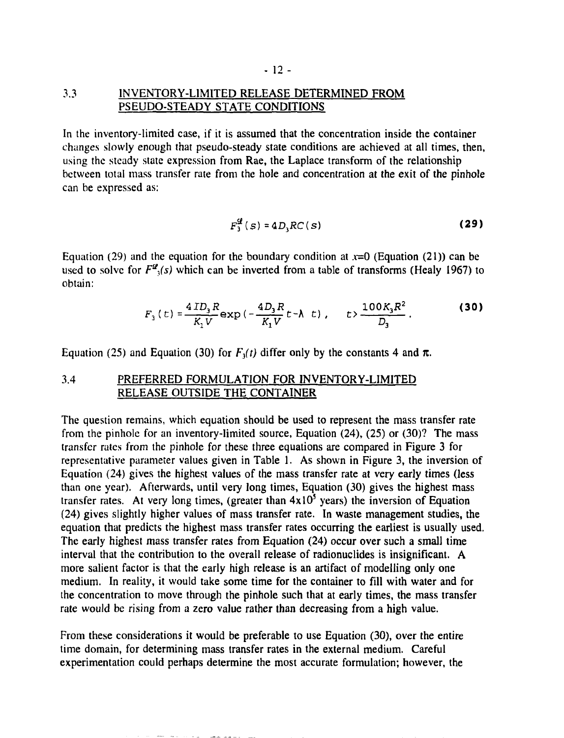#### 3.3 INVENTORY-LIMITED RELEASE DETERMINED FROM PSEUDO-STEADY STATE CONDITIONS

In the inventory-limited case, if it is assumed that the concentration inside the container changes slowly enough that pseudo-steady state conditions are achieved at all times, then, using the steady state expression from Rae, the Laplace transform of the relationship between total mass transfer rate from the hole and concentration at the exit of the pinhole can be expressed as:

$$
F_3^{\mathcal{L}}(s) = 4D_3RC(s)
$$
 (29)

Equation (29) and the equation for the boundary condition at  $x=0$  (Equation (21)) can be used to solve for  $F^2(x)$  which can be inverted from a table of transforms (Healy 1967) to obtain:

$$
F_3(t) = \frac{4ID_3R}{K_1V} \exp\left(-\frac{4D_3R}{K_1V}t - \lambda t\right), \qquad t > \frac{100K_3R^2}{D_3}.
$$
 (30)

Equation (25) and Equation (30) for  $F_3(t)$  differ only by the constants 4 and  $\pi$ .

#### 3.4 PREFERRED FORMULATION FOR INVENTORY-LIMITED RELEASE OUTSIDE THE CONTAINER

The question remains, which equation should be used to represent the mass transfer rate from the pinhole for an inventory-limited source, Equation (24), (25) or (30)? The mass transfer rates from the pinhole for these three equations are compared in Figure 3 for representative parameter values given in Table 1. As shown in Figure 3, the inversion of Equation (24) gives the highest values of the mass transfer rate at very early times (less than one year). Afterwards, until very long times, Equation (30) gives the highest mass transfer rates. At very long times, (greater than  $4x10<sup>5</sup>$  years) the inversion of Equation (24) gives slightly higher values of mass transfer rate. In waste management studies, the equation that predicts the highest mass transfer rates occurring the earliest is usually used. The early highest mass transfer rates from Equation (24) occur over such a small time interval that the contribution to the overall release of radionuclides is insignificant. A more salient factor is that the early high release is an artifact of modelling only one medium. In reality, it would take some time for the container to fill with water and for the concentration to move through the pinhole such that at early times, the mass transfer rate would be rising from a zero value rather than decreasing from a high value.

From these considerations it would be preferable to use Equation (30), over the entire time domain, for determining mass transfer rates in the external medium. Careful experimentation could perhaps determine the most accurate formulation; however, the

where  $\mathcal{L}=\mathcal{L}(\mathcal{L}(\mathcal{L}(\mathcal{L}(\mathcal{L}(\mathcal{L}(\mathcal{L}(\mathcal{L}(\mathcal{L}(\mathcal{L}(\mathcal{L}(\mathcal{L}(\mathcal{L}(\mathcal{L}(\mathcal{L}(\mathcal{L}(\mathcal{L}(\mathcal{L}(\mathcal{L}(\mathcal{L}(\mathcal{L}(\mathcal{L}(\mathcal{L}(\mathcal{L}(\mathcal{L}(\mathcal{L}(\mathcal{L}(\mathcal{L}(\mathcal{L}(\mathcal{L}(\mathcal{L}(\mathcal{L}(\mathcal{L}(\mathcal{L}(\mathcal{$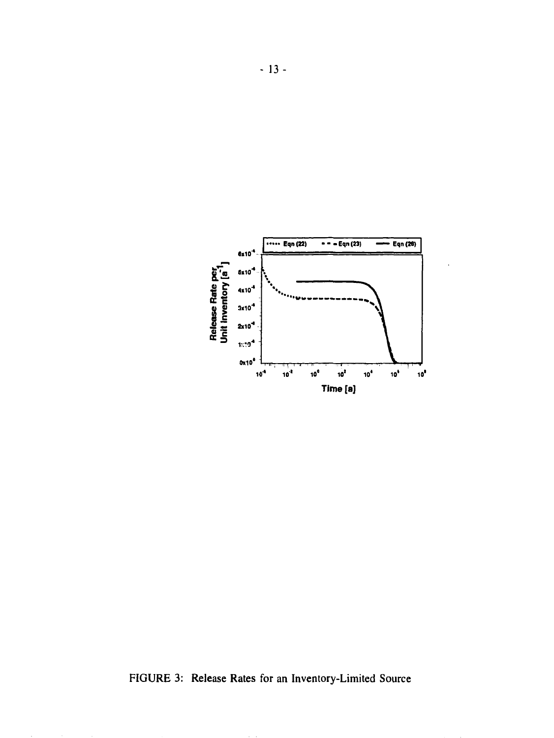

FIGURE 3: Release Rates for an Inventory-Limited Source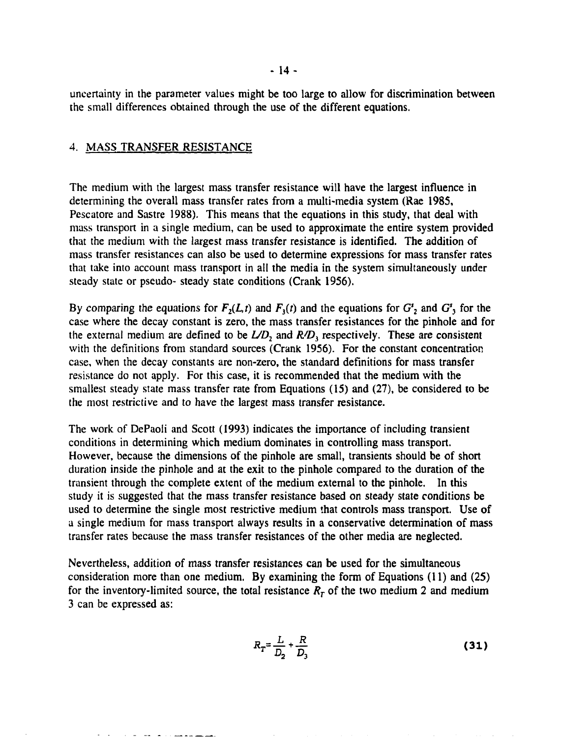uncertainty in the parameter values might be too large to allow for discrimination between the small differences obtained through the use of the different equations.

#### 4. MASS TRANSFER RESISTANCE

 $\sim$ 

The medium with the largest mass transfer resistance will have the largest influence in determining the overall mass transfer rates from a multi-media system (Rae 1985, Pescatore and Sastre 1988). This means that the equations in this study, that deal with mass transport in a single medium, can be used to approximate the entire system provided that the medium with the largest mass transfer resistance is identified. The addition of mass transfer resistances can also be used to determine expressions for mass transfer rates that take into account mass transport in all the media in the system simultaneously under steady state or pseudo- steady state conditions (Crank 1956).

By comparing the equations for  $F_2(L,t)$  and  $F_3(t)$  and the equations for  $G_2^s$  and  $G_3^s$  for the case where the decay constant is zero, the mass transfer resistances for the pinhole and for the external medium are defined to be  $L/D<sub>2</sub>$  and  $R/D<sub>3</sub>$  respectively. These are consistent with the definitions from standard sources (Crank 1956). For the constant concentration case, when the decay constants are non-zero, the standard definitions for mass transfer resistance do not apply. For this case, it is recommended that the medium with the smallest steady state mass transfer rate from Equations (15) and (27), be considered to be the most restrictive and to have the largest mass transfer resistance.

The work of DePaoli and Scott (1993) indicates the importance of including transient conditions in determining which medium dominates in controlling mass transport. However, because the dimensions of the pinhole are small, transients should be of short duration inside the pinhole and at the exit to the pinhole compared to the duration of the transient through the complete extent of the medium external to the pinhole. In this study it is suggested that the mass transfer resistance based on steady state conditions be used to determine the single most restrictive medium that controls mass transport. Use of a single medium for mass transport always results in a conservative determination of mass transfer rates because the mass transfer resistances of the other media are neglected.

Nevertheless, addition of mass transfer resistances can be used for the simultaneous consideration more than one medium. By examining the form of Equations (11) and (25) for the inventory-limited source, the total resistance  $R<sub>T</sub>$  of the two medium 2 and medium 3 can be expressed as:

$$
R_T = \frac{L}{D_2} + \frac{R}{D_3} \tag{31}
$$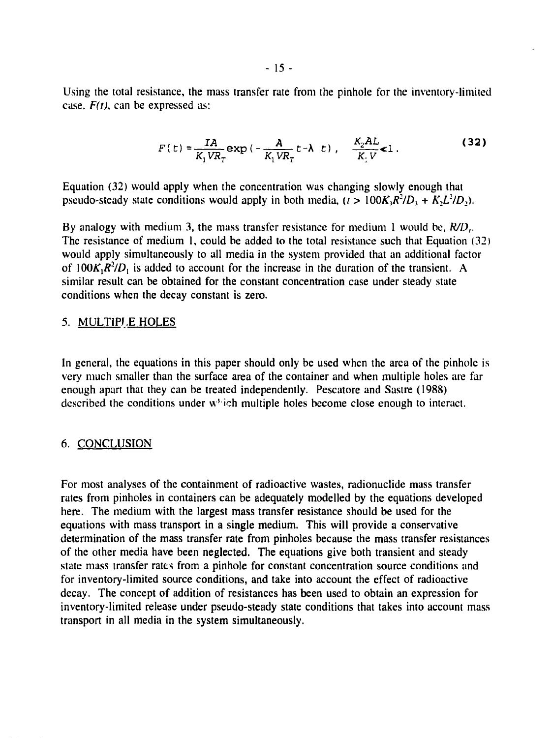Using the total resistance, the mass transfer rate from the pinhole for the inventory-limited case, *F(t),* can be expressed as:

$$
F(t) = \frac{IA}{K_1VR_T} \exp\left(-\frac{A}{K_1VR_T}t - \lambda t\right), \quad \frac{K_2AL}{K_1V}\leq 1.
$$
 (32)

Equation (32) would apply when the concentration was changing slowly enough that pseudo-steady state conditions would apply in both media,  $(t > 100K<sub>3</sub>R<sup>2</sup>/D<sub>3</sub> + K<sub>2</sub>L<sup>2</sup>/D<sub>2</sub>$ ).

By analogy with medium 3, the mass transfer resistance for medium 1 would be, *R/D,.* The resistance of medium 1, could be added to the total resistance such that Equation (32) would apply simultaneously to all media in the system provided that an additional factor of  $100K_1R^2/D_1$  is added to account for the increase in the duration of the transient. A similar result can be obtained for the constant concentration case under steady state conditions when the decay constant is zero.

#### 5. MULTIPLE HOLES

In general, the equations in this paper should only be used when the area of the pinhole is very much smaller than the surface area of the container and when multiple holes are far enough apart that they can be treated independently. Pescatore and Sastre (1988) described the conditions under which multiple holes become close enough to interact.

#### 6. CONCLUSION

For most analyses of the containment of radioactive wastes, radionuclide mass transfer rates from pinholes in containers can be adequately modelled by the equations developed here. The medium with the largest mass transfer resistance should be used for the equations with mass transport in a single medium. This will provide a conservative determination of the mass transfer rate from pinholes because the mass transfer resistances of the other media have been neglected. The equations give both transient and steady state mass transfer rates from a pinhole for constant concentration source conditions and for inventory-limited source conditions, and take into account the effect of radioactive decay. The concept of addition of resistances has been used to obtain an expression for inventory-limited release under pseudo-steady state conditions that takes into account mass transport in all media in the system simultaneously.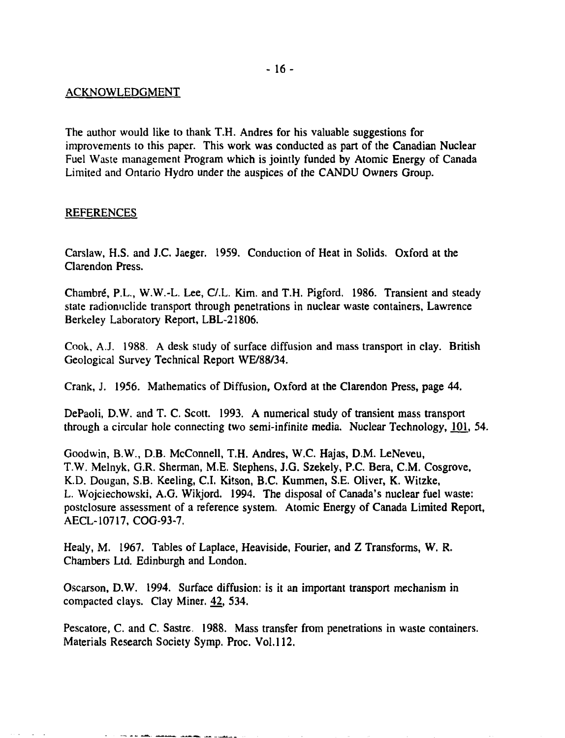#### ACKNOWLEDGMENT

The author would like to thank T.H. Andres for his valuable suggestions for improvements to this paper. This work was conducted as part of the Canadian Nuclear Fuel Waste management Program which is jointly funded by Atomic Energy of Canada Limited and Ontario Hydro under the auspices of the CANDU Owners Group.

#### REFERENCES

Carslaw, H.S. and J.C. Jaeger. 1959. Conduction of Heat in Solids. Oxford at the Clarendon Press.

Chambré, P.L., W.W.-L. Lee, C/.L. Kim. and T.H. Pigford. 1986. Transient and steady state radionuclide transport through penetrations in nuclear waste containers, Lawrence Berkeley Laboratory Report, LBL-21806.

Cook, A.J. 1988. A desk study of surface diffusion and mass transport in clay. British Geological Survey Technical Report WE/88/34.

Crank, J. 1956. Mathematics of Diffusion, Oxford at the Clarendon Press, page 44.

DePaoli, D.W. and T. C. Scott. 1993. A numerical study of transient mass transport through a circular hole connecting two semi-infinite media. Nuclear Technology, 101, 54.

Goodwin, B.W., D.B. McConnell, T.H. Andres, W.C. Hajas, D.M. LeNeveu, T.W. Melnyk, G.R. Sherman, M.E. Stephens, J.G. Szekely, P.C. Bera, C.M. Cosgrove, K.D. Dougan, S.B. Keeling, C.I. Kitson, B.C. Kummen, S.E. Oliver, K. Witzke, L. Wojciechowski, A.G. Wikjord. 1994. The disposal of Canada's nuclear fuel waste: postclosure assessment of a reference system. Atomic Energy of Canada Limited Report, AECL-10717, COG-93-7.

Healy, M. 1967. Tables of Laplace, Heaviside, Fourier, and Z Transforms, W. R. Chambers Ltd. Edinburgh and London.

Oscarson, D.W. 1994. Surface diffusion: is it an important transport mechanism in compacted clays. Clay Miner. 42, 534.

Pescatore, C. and C. Sastre, 1988. Mass transfer from penetrations in waste containers. Materials Research Society Symp. Proc. Vol.112.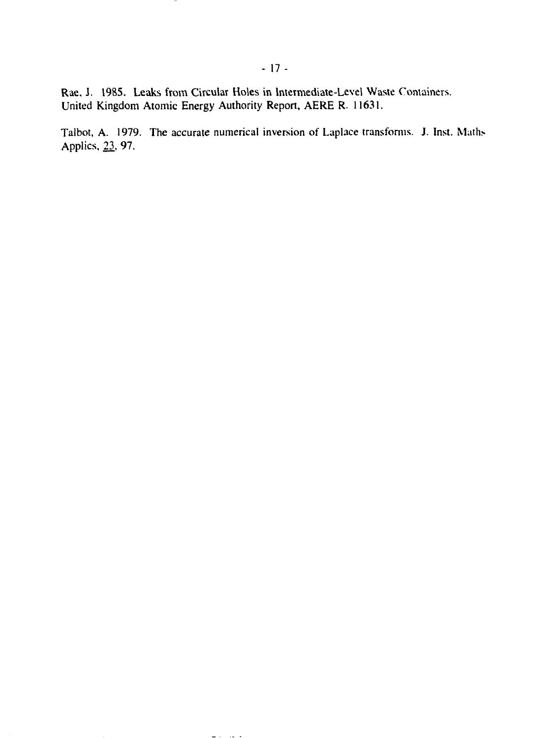Rae, J. 1985. Leaks from Circular Holes in Intermediate-Level Waste Containers. United Kingdom Atomic Energy Authority Report, AERE R. 11631.

> $\cdot$  $\sim$   $\sim$

Talbot, A. 1979. The accurate numerical inversion of Laplace transforms. J. Inst. Maths Applies, 23, 97.